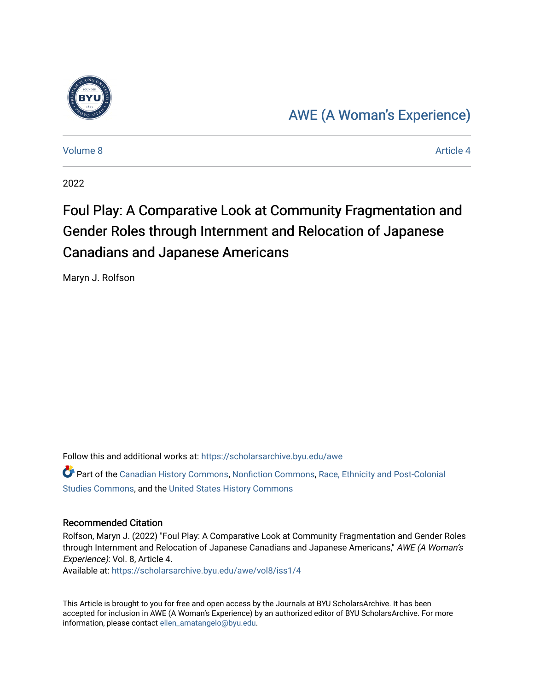

### [AWE \(A Woman's Experience\)](https://scholarsarchive.byu.edu/awe)

[Volume 8](https://scholarsarchive.byu.edu/awe/vol8) Article 4

2022

## Foul Play: A Comparative Look at Community Fragmentation and Gender Roles through Internment and Relocation of Japanese Canadians and Japanese Americans

Maryn J. Rolfson

Follow this and additional works at: [https://scholarsarchive.byu.edu/awe](https://scholarsarchive.byu.edu/awe?utm_source=scholarsarchive.byu.edu%2Fawe%2Fvol8%2Fiss1%2F4&utm_medium=PDF&utm_campaign=PDFCoverPages)

Part of the [Canadian History Commons](https://network.bepress.com/hgg/discipline/1358?utm_source=scholarsarchive.byu.edu%2Fawe%2Fvol8%2Fiss1%2F4&utm_medium=PDF&utm_campaign=PDFCoverPages), [Nonfiction Commons](https://network.bepress.com/hgg/discipline/1152?utm_source=scholarsarchive.byu.edu%2Fawe%2Fvol8%2Fiss1%2F4&utm_medium=PDF&utm_campaign=PDFCoverPages), [Race, Ethnicity and Post-Colonial](https://network.bepress.com/hgg/discipline/566?utm_source=scholarsarchive.byu.edu%2Fawe%2Fvol8%2Fiss1%2F4&utm_medium=PDF&utm_campaign=PDFCoverPages)  [Studies Commons,](https://network.bepress.com/hgg/discipline/566?utm_source=scholarsarchive.byu.edu%2Fawe%2Fvol8%2Fiss1%2F4&utm_medium=PDF&utm_campaign=PDFCoverPages) and the [United States History Commons](https://network.bepress.com/hgg/discipline/495?utm_source=scholarsarchive.byu.edu%2Fawe%2Fvol8%2Fiss1%2F4&utm_medium=PDF&utm_campaign=PDFCoverPages)

#### Recommended Citation

Rolfson, Maryn J. (2022) "Foul Play: A Comparative Look at Community Fragmentation and Gender Roles through Internment and Relocation of Japanese Canadians and Japanese Americans," AWE (A Woman's Experience): Vol. 8, Article 4.

Available at: [https://scholarsarchive.byu.edu/awe/vol8/iss1/4](https://scholarsarchive.byu.edu/awe/vol8/iss1/4?utm_source=scholarsarchive.byu.edu%2Fawe%2Fvol8%2Fiss1%2F4&utm_medium=PDF&utm_campaign=PDFCoverPages)

This Article is brought to you for free and open access by the Journals at BYU ScholarsArchive. It has been accepted for inclusion in AWE (A Woman's Experience) by an authorized editor of BYU ScholarsArchive. For more information, please contact [ellen\\_amatangelo@byu.edu.](mailto:ellen_amatangelo@byu.edu)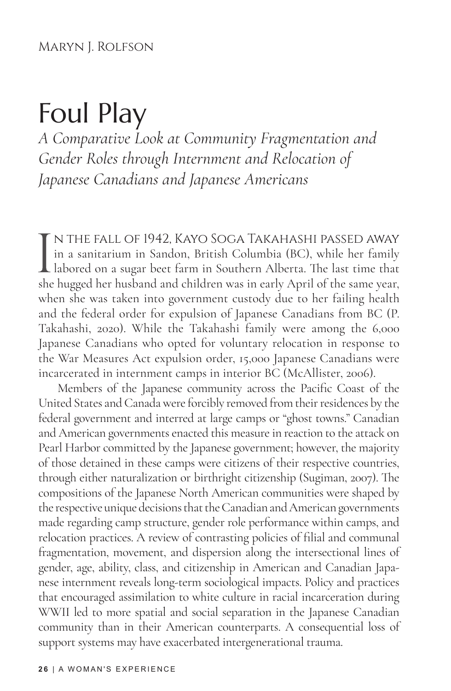# Foul Play

*A Comparative Look at Community Fragmentation and Gender Roles through Internment and Relocation of Japanese Canadians and Japanese Americans*

I<br>she n the fall of 1942, Kayo Soga Takahashi passed away in a sanitarium in Sandon, British Columbia (BC), while her family labored on a sugar beet farm in Southern Alberta. The last time that she hugged her husband and children was in early April of the same year, when she was taken into government custody due to her failing health and the federal order for expulsion of Japanese Canadians from BC (P. Takahashi, 2020). While the Takahashi family were among the 6,000 Japanese Canadians who opted for voluntary relocation in response to the War Measures Act expulsion order, 15,000 Japanese Canadians were incarcerated in internment camps in interior BC (McAllister, 2006).

Members of the Japanese community across the Pacific Coast of the United States and Canada were forcibly removed from their residences by the federal government and interred at large camps or "ghost towns." Canadian and American governments enacted this measure in reaction to the attack on Pearl Harbor committed by the Japanese government; however, the majority of those detained in these camps were citizens of their respective countries, through either naturalization or birthright citizenship (Sugiman, 2007). The compositions of the Japanese North American communities were shaped by the respective unique decisions that the Canadian and American governments made regarding camp structure, gender role performance within camps, and relocation practices. A review of contrasting policies of filial and communal fragmentation, movement, and dispersion along the intersectional lines of gender, age, ability, class, and citizenship in American and Canadian Japanese internment reveals long-term sociological impacts. Policy and practices that encouraged assimilation to white culture in racial incarceration during WWII led to more spatial and social separation in the Japanese Canadian community than in their American counterparts. A consequential loss of support systems may have exacerbated intergenerational trauma.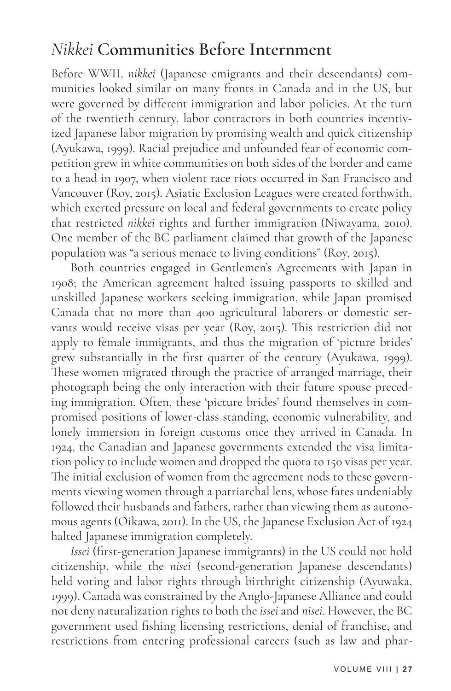#### *Nikkei* **Communities Before Internment**

Before WWII, *nikkei* (Japanese emigrants and their descendants) communities looked similar on many fronts in Canada and in the US, but were governed by different immigration and labor policies. At the turn of the twentieth century, labor contractors in both countries incentivized Japanese labor migration by promising wealth and quick citizenship (Ayukawa, 1999). Racial prejudice and unfounded fear of economic competition grew in white communities on both sides of the border and came to a head in 1907, when violent race riots occurred in San Francisco and Vancouver (Roy, 2015). Asiatic Exclusion Leagues were created forthwith, which exerted pressure on local and federal governments to create policy that restricted *nikkei* rights and further immigration (Niwayama, 2010). One member of the BC parliament claimed that growth of the Japanese population was "a serious menace to living conditions" (Roy, 2015).

Both countries engaged in Gentlemen's Agreements with Japan in 1908; the American agreement halted issuing passports to skilled and unskilled Japanese workers seeking immigration, while Japan promised Canada that no more than 400 agricultural laborers or domestic servants would receive visas per year (Roy, 2015). This restriction did not apply to female immigrants, and thus the migration of 'picture brides' grew substantially in the first quarter of the century (Ayukawa, 1999). These women migrated through the practice of arranged marriage, their photograph being the only interaction with their future spouse preceding immigration. Often, these 'picture brides' found themselves in compromised positions of lower-class standing, economic vulnerability, and lonely immersion in foreign customs once they arrived in Canada. In 1924, the Canadian and Japanese governments extended the visa limitation policy to include women and dropped the quota to 150 visas per year. The initial exclusion of women from the agreement nods to these governments viewing women through a patriarchal lens, whose fates undeniably followed their husbands and fathers, rather than viewing them as autonomous agents (Oikawa, 2011). In the US, the Japanese Exclusion Act of 1924 halted Japanese immigration completely.

*Issei* (first-generation Japanese immigrants) in the US could not hold citizenship, while the *nisei* (second-generation Japanese descendants) held voting and labor rights through birthright citizenship (Ayuwaka, 1999). Canada was constrained by the Anglo-Japanese Alliance and could not deny naturalization rights to both the *issei* and *nisei*. However, the BC government used fishing licensing restrictions, denial of franchise, and restrictions from entering professional careers (such as law and phar-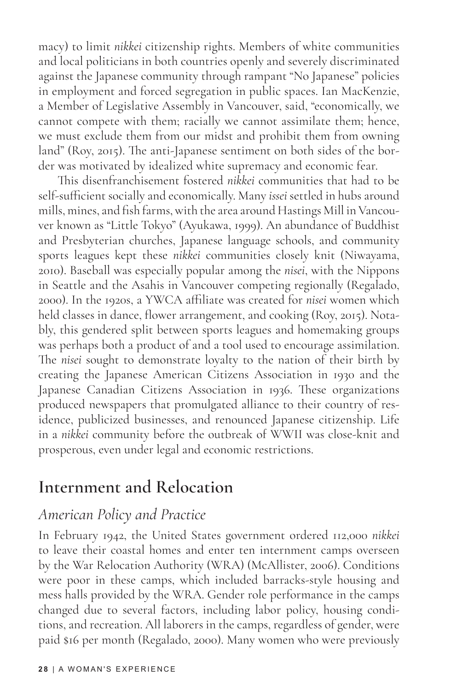macy) to limit *nikkei* citizenship rights. Members of white communities and local politicians in both countries openly and severely discriminated against the Japanese community through rampant "No Japanese" policies in employment and forced segregation in public spaces. Ian MacKenzie, a Member of Legislative Assembly in Vancouver, said, "economically, we cannot compete with them; racially we cannot assimilate them; hence, we must exclude them from our midst and prohibit them from owning land" (Roy, 2015). The anti-Japanese sentiment on both sides of the border was motivated by idealized white supremacy and economic fear.

This disenfranchisement fostered *nikkei* communities that had to be self-sufficient socially and economically. Many *issei* settled in hubs around mills, mines, and fish farms, with the area around Hastings Mill in Vancouver known as "Little Tokyo" (Ayukawa, 1999). An abundance of Buddhist and Presbyterian churches, Japanese language schools, and community sports leagues kept these *nikkei* communities closely knit (Niwayama, 2010). Baseball was especially popular among the *nisei*, with the Nippons in Seattle and the Asahis in Vancouver competing regionally (Regalado, 2000). In the 1920s, a YWCA affiliate was created for *nisei* women which held classes in dance, flower arrangement, and cooking (Roy, 2015). Notably, this gendered split between sports leagues and homemaking groups was perhaps both a product of and a tool used to encourage assimilation. The *nisei* sought to demonstrate loyalty to the nation of their birth by creating the Japanese American Citizens Association in 1930 and the Japanese Canadian Citizens Association in 1936. These organizations produced newspapers that promulgated alliance to their country of residence, publicized businesses, and renounced Japanese citizenship. Life in a *nikkei* community before the outbreak of WWII was close-knit and prosperous, even under legal and economic restrictions.

#### **Internment and Relocation**

#### *American Policy and Practice*

In February 1942, the United States government ordered 112,000 *nikkei* to leave their coastal homes and enter ten internment camps overseen by the War Relocation Authority (WRA) (McAllister, 2006). Conditions were poor in these camps, which included barracks-style housing and mess halls provided by the WRA. Gender role performance in the camps changed due to several factors, including labor policy, housing conditions, and recreation. All laborers in the camps, regardless of gender, were paid \$16 per month (Regalado, 2000). Many women who were previously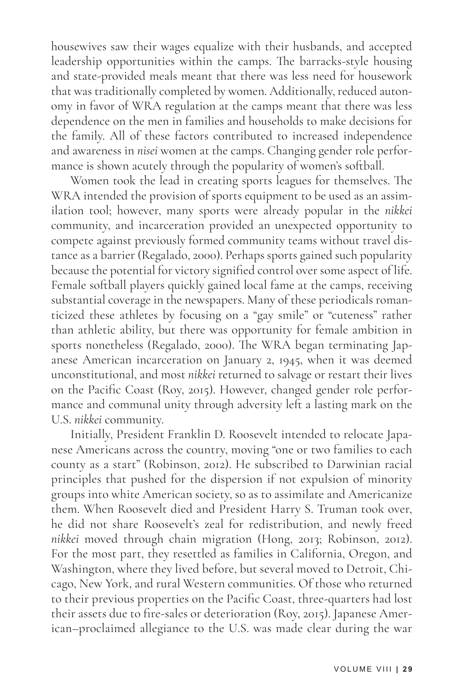housewives saw their wages equalize with their husbands, and accepted leadership opportunities within the camps. The barracks-style housing and state-provided meals meant that there was less need for housework that was traditionally completed by women. Additionally, reduced autonomy in favor of WRA regulation at the camps meant that there was less dependence on the men in families and households to make decisions for the family. All of these factors contributed to increased independence and awareness in *nisei* women at the camps. Changing gender role performance is shown acutely through the popularity of women's softball.

Women took the lead in creating sports leagues for themselves. The WRA intended the provision of sports equipment to be used as an assimilation tool; however, many sports were already popular in the *nikkei* community, and incarceration provided an unexpected opportunity to compete against previously formed community teams without travel distance as a barrier (Regalado, 2000). Perhaps sports gained such popularity because the potential for victory signified control over some aspect of life. Female softball players quickly gained local fame at the camps, receiving substantial coverage in the newspapers. Many of these periodicals romanticized these athletes by focusing on a "gay smile" or "cuteness" rather than athletic ability, but there was opportunity for female ambition in sports nonetheless (Regalado, 2000). The WRA began terminating Japanese American incarceration on January 2, 1945, when it was deemed unconstitutional, and most *nikkei* returned to salvage or restart their lives on the Pacific Coast (Roy, 2015). However, changed gender role performance and communal unity through adversity left a lasting mark on the U.S. *nikkei* community.

Initially, President Franklin D. Roosevelt intended to relocate Japanese Americans across the country, moving "one or two families to each county as a start" (Robinson, 2012). He subscribed to Darwinian racial principles that pushed for the dispersion if not expulsion of minority groups into white American society, so as to assimilate and Americanize them. When Roosevelt died and President Harry S. Truman took over, he did not share Roosevelt's zeal for redistribution, and newly freed *nikkei* moved through chain migration (Hong, 2013; Robinson, 2012). For the most part, they resettled as families in California, Oregon, and Washington, where they lived before, but several moved to Detroit, Chicago, New York, and rural Western communities. Of those who returned to their previous properties on the Pacific Coast, three-quarters had lost their assets due to fire-sales or deterioration (Roy, 2015). Japanese American–proclaimed allegiance to the U.S. was made clear during the war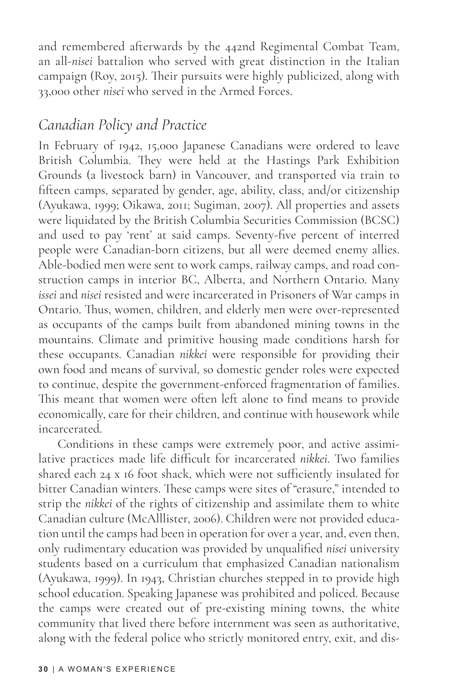and remembered afterwards by the 442nd Regimental Combat Team, an all-*nisei* battalion who served with great distinction in the Italian campaign (Roy, 2015). Their pursuits were highly publicized, along with 33,000 other *nisei* who served in the Armed Forces.

#### *Canadian Policy and Practice*

In February of 1942, 15,000 Japanese Canadians were ordered to leave British Columbia. They were held at the Hastings Park Exhibition Grounds (a livestock barn) in Vancouver, and transported via train to fifteen camps, separated by gender, age, ability, class, and/or citizenship (Ayukawa, 1999; Oikawa, 2011; Sugiman, 2007). All properties and assets were liquidated by the British Columbia Securities Commission (BCSC) and used to pay 'rent' at said camps. Seventy-five percent of interred people were Canadian-born citizens, but all were deemed enemy allies. Able-bodied men were sent to work camps, railway camps, and road construction camps in interior BC, Alberta, and Northern Ontario. Many *issei* and *nisei* resisted and were incarcerated in Prisoners of War camps in Ontario. Thus, women, children, and elderly men were over-represented as occupants of the camps built from abandoned mining towns in the mountains. Climate and primitive housing made conditions harsh for these occupants. Canadian *nikkei* were responsible for providing their own food and means of survival, so domestic gender roles were expected to continue, despite the government-enforced fragmentation of families. This meant that women were often left alone to find means to provide economically, care for their children, and continue with housework while incarcerated.

Conditions in these camps were extremely poor, and active assimilative practices made life difficult for incarcerated *nikkei*. Two families shared each 24 x 16 foot shack, which were not sufficiently insulated for bitter Canadian winters. These camps were sites of "erasure," intended to strip the *nikkei* of the rights of citizenship and assimilate them to white Canadian culture (McAlllister, 2006). Children were not provided education until the camps had been in operation for over a year, and, even then, only rudimentary education was provided by unqualified *nisei* university students based on a curriculum that emphasized Canadian nationalism (Ayukawa, 1999). In 1943, Christian churches stepped in to provide high school education. Speaking Japanese was prohibited and policed. Because the camps were created out of pre-existing mining towns, the white community that lived there before internment was seen as authoritative, along with the federal police who strictly monitored entry, exit, and dis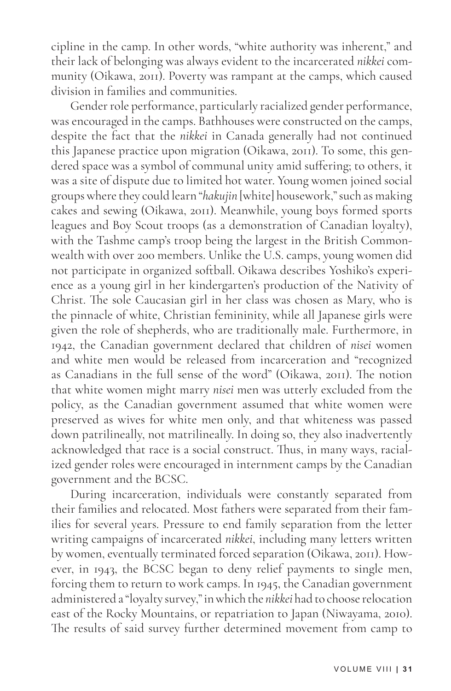cipline in the camp. In other words, "white authority was inherent," and their lack of belonging was always evident to the incarcerated *nikkei* community (Oikawa, 2011). Poverty was rampant at the camps, which caused division in families and communities.

Gender role performance, particularly racialized gender performance, was encouraged in the camps. Bathhouses were constructed on the camps, despite the fact that the *nikkei* in Canada generally had not continued this Japanese practice upon migration (Oikawa, 2011). To some, this gendered space was a symbol of communal unity amid suffering; to others, it was a site of dispute due to limited hot water. Young women joined social groups where they could learn "*hakujin* [white] housework," such as making cakes and sewing (Oikawa, 2011). Meanwhile, young boys formed sports leagues and Boy Scout troops (as a demonstration of Canadian loyalty), with the Tashme camp's troop being the largest in the British Commonwealth with over 200 members. Unlike the U.S. camps, young women did not participate in organized softball. Oikawa describes Yoshiko's experience as a young girl in her kindergarten's production of the Nativity of Christ. The sole Caucasian girl in her class was chosen as Mary, who is the pinnacle of white, Christian femininity, while all Japanese girls were given the role of shepherds, who are traditionally male. Furthermore, in 1942, the Canadian government declared that children of *nisei* women and white men would be released from incarceration and "recognized as Canadians in the full sense of the word" (Oikawa, 2011). The notion that white women might marry *nisei* men was utterly excluded from the policy, as the Canadian government assumed that white women were preserved as wives for white men only, and that whiteness was passed down patrilineally, not matrilineally. In doing so, they also inadvertently acknowledged that race is a social construct. Thus, in many ways, racialized gender roles were encouraged in internment camps by the Canadian government and the BCSC.

During incarceration, individuals were constantly separated from their families and relocated. Most fathers were separated from their families for several years. Pressure to end family separation from the letter writing campaigns of incarcerated *nikkei*, including many letters written by women, eventually terminated forced separation (Oikawa, 2011). However, in 1943, the BCSC began to deny relief payments to single men, forcing them to return to work camps. In 1945, the Canadian government administered a "loyalty survey," in which the *nikkei* had to choose relocation east of the Rocky Mountains, or repatriation to Japan (Niwayama, 2010). The results of said survey further determined movement from camp to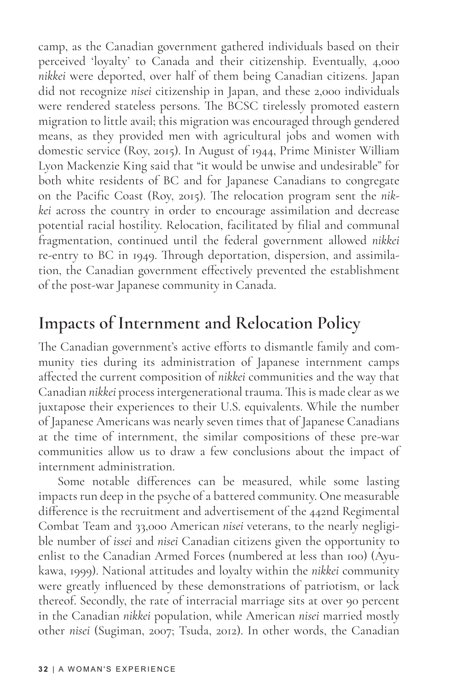camp, as the Canadian government gathered individuals based on their perceived 'loyalty' to Canada and their citizenship. Eventually, 4,000 *nikkei* were deported, over half of them being Canadian citizens. Japan did not recognize *nisei* citizenship in Japan, and these 2,000 individuals were rendered stateless persons. The BCSC tirelessly promoted eastern migration to little avail; this migration was encouraged through gendered means, as they provided men with agricultural jobs and women with domestic service (Roy, 2015). In August of 1944, Prime Minister William Lyon Mackenzie King said that "it would be unwise and undesirable" for both white residents of BC and for Japanese Canadians to congregate on the Pacific Coast (Roy, 2015). The relocation program sent the *nikkei* across the country in order to encourage assimilation and decrease potential racial hostility. Relocation, facilitated by filial and communal fragmentation, continued until the federal government allowed *nikkei* re-entry to BC in 1949. Through deportation, dispersion, and assimilation, the Canadian government effectively prevented the establishment of the post-war Japanese community in Canada.

#### **Impacts of Internment and Relocation Policy**

The Canadian government's active efforts to dismantle family and community ties during its administration of Japanese internment camps affected the current composition of *nikkei* communities and the way that Canadian *nikkei* process intergenerational trauma. This is made clear as we juxtapose their experiences to their U.S. equivalents. While the number of Japanese Americans was nearly seven times that of Japanese Canadians at the time of internment, the similar compositions of these pre-war communities allow us to draw a few conclusions about the impact of internment administration.

Some notable differences can be measured, while some lasting impacts run deep in the psyche of a battered community. One measurable difference is the recruitment and advertisement of the 442nd Regimental Combat Team and 33,000 American *nisei* veterans, to the nearly negligible number of *issei* and *nisei* Canadian citizens given the opportunity to enlist to the Canadian Armed Forces (numbered at less than 100) (Ayukawa, 1999). National attitudes and loyalty within the *nikkei* community were greatly influenced by these demonstrations of patriotism, or lack thereof. Secondly, the rate of interracial marriage sits at over 90 percent in the Canadian *nikkei* population, while American *nisei* married mostly other *nisei* (Sugiman, 2007; Tsuda, 2012). In other words, the Canadian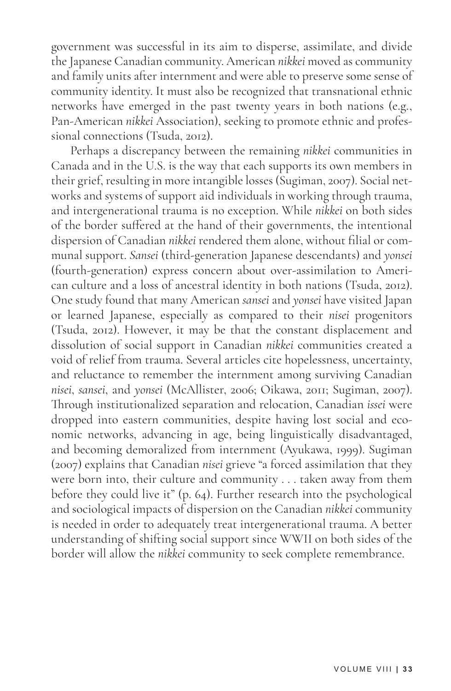government was successful in its aim to disperse, assimilate, and divide the Japanese Canadian community. American *nikkei* moved as community and family units after internment and were able to preserve some sense of community identity. It must also be recognized that transnational ethnic networks have emerged in the past twenty years in both nations (e.g., Pan-American *nikkei* Association), seeking to promote ethnic and professional connections (Tsuda, 2012).

Perhaps a discrepancy between the remaining *nikkei* communities in Canada and in the U.S. is the way that each supports its own members in their grief, resulting in more intangible losses (Sugiman, 2007). Social networks and systems of support aid individuals in working through trauma, and intergenerational trauma is no exception. While *nikkei* on both sides of the border suffered at the hand of their governments, the intentional dispersion of Canadian *nikkei* rendered them alone, without filial or communal support. *Sansei* (third-generation Japanese descendants) and *yonsei* (fourth-generation) express concern about over-assimilation to American culture and a loss of ancestral identity in both nations (Tsuda, 2012). One study found that many American *sansei* and *yonsei* have visited Japan or learned Japanese, especially as compared to their *nisei* progenitors (Tsuda, 2012). However, it may be that the constant displacement and dissolution of social support in Canadian *nikkei* communities created a void of relief from trauma. Several articles cite hopelessness, uncertainty, and reluctance to remember the internment among surviving Canadian *nisei*, *sansei*, and *yonsei* (McAllister, 2006; Oikawa, 2011; Sugiman, 2007). Through institutionalized separation and relocation, Canadian *issei* were dropped into eastern communities, despite having lost social and economic networks, advancing in age, being linguistically disadvantaged, and becoming demoralized from internment (Ayukawa, 1999). Sugiman (2007) explains that Canadian *nisei* grieve "a forced assimilation that they were born into, their culture and community . . . taken away from them before they could live it" (p. 64). Further research into the psychological and sociological impacts of dispersion on the Canadian *nikkei* community is needed in order to adequately treat intergenerational trauma. A better understanding of shifting social support since WWII on both sides of the border will allow the *nikkei* community to seek complete remembrance.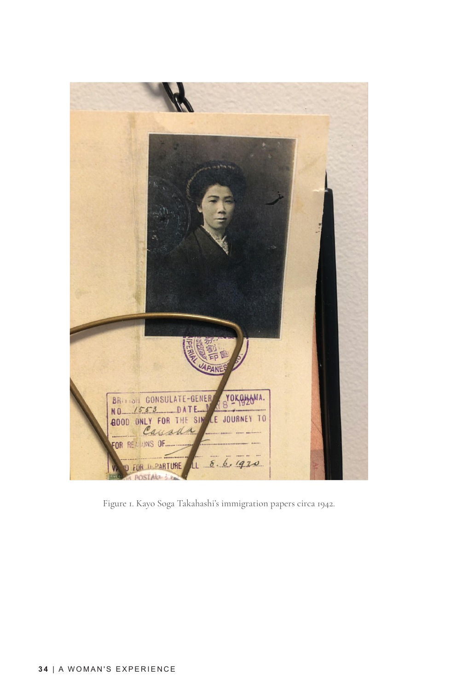

Figure 1. Kayo Soga Takahashi's immigration papers circa 1942.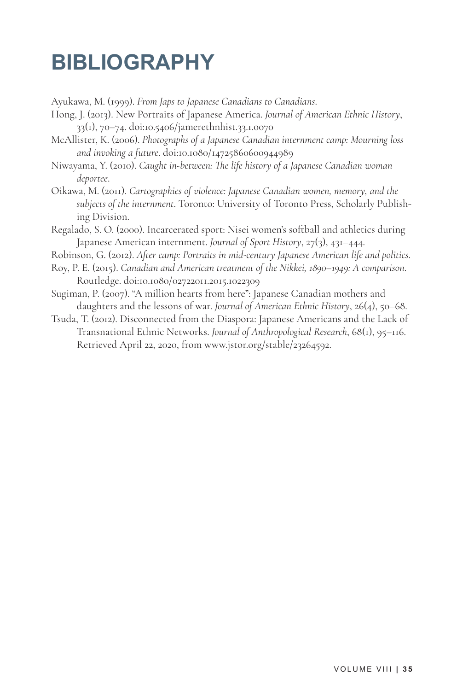# **BIBLIOGRAPHY**

Ayukawa, M. (1999). *From Japs to Japanese Canadians to Canadians*.

- Hong, J. (2013). New Portraits of Japanese America. *Journal of American Ethnic History*, 33(1), 70–74. doi:10.5406/jamerethnhist.33.1.0070
- McAllister, K. (2006). *Photographs of a Japanese Canadian internment camp: Mourning loss and invoking a future*. doi:10.1080/14725860600944989
- Niwayama, Y. (2010). *Caught in-between: The life history of a Japanese Canadian woman deportee*.
- Oikawa, M. (2011). *Cartographies of violence: Japanese Canadian women, memory, and the subjects of the internment*. Toronto: University of Toronto Press, Scholarly Publishing Division.
- Regalado, S. O. (2000). Incarcerated sport: Nisei women's softball and athletics during Japanese American internment. *Journal of Sport History*, 27(3), 431–444.
- Robinson, G. (2012). *After camp: Portraits in mid-century Japanese American life and politics*.
- Roy, P. E. (2015). *Canadian and American treatment of the Nikkei, 1890–1949: A comparison*. Routledge. doi:10.1080/02722011.2015.1022309
- Sugiman, P. (2007). "A million hearts from here": Japanese Canadian mothers and daughters and the lessons of war. *Journal of American Ethnic History*, 26(4), 50–68.
- Tsuda, T. (2012). Disconnected from the Diaspora: Japanese Americans and the Lack of Transnational Ethnic Networks. *Journal of Anthropological Research*, 68(1), 95–116. Retrieved April 22, 2020, from www.jstor.org/stable/23264592.